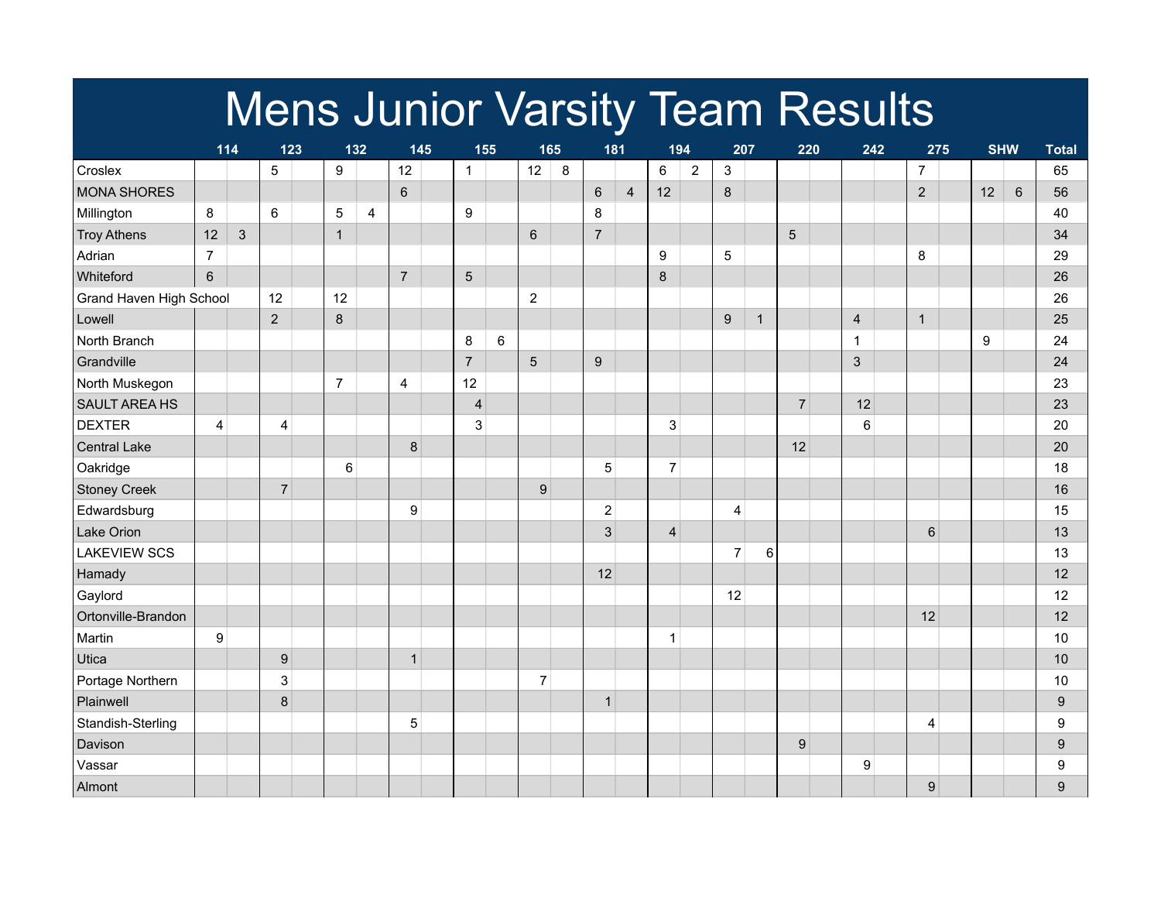|                         | <b>Mens Junior Varsity Team Results</b> |     |                   |  |                |                |                |                         |   |                |     |                |                |                |   |                |              |                |                |  |                |  |            |   |              |
|-------------------------|-----------------------------------------|-----|-------------------|--|----------------|----------------|----------------|-------------------------|---|----------------|-----|----------------|----------------|----------------|---|----------------|--------------|----------------|----------------|--|----------------|--|------------|---|--------------|
|                         |                                         | 114 | 123               |  | 132            |                | 145            | 155                     |   |                | 165 |                | 181            | 194            |   | 207            |              | 220            | 242            |  | 275            |  | <b>SHW</b> |   | <b>Total</b> |
| <b>Croslex</b>          |                                         |     | 5                 |  | 9              |                | 12             | $\mathbf{1}$            |   | 12             | 8   |                |                | 6              | 2 | 3              |              |                |                |  | $\overline{7}$ |  |            |   | 65           |
| <b>MONA SHORES</b>      |                                         |     |                   |  |                |                | 6              |                         |   |                |     | 6              | $\overline{4}$ | 12             |   | 8              |              |                |                |  | $\overline{2}$ |  | 12         | 6 | 56           |
| Millington              | 8                                       |     | 6                 |  | 5              | $\overline{4}$ |                | 9                       |   |                |     | 8              |                |                |   |                |              |                |                |  |                |  |            |   | 40           |
| Troy Athens             | 12                                      | 3   |                   |  | $\overline{1}$ |                |                |                         |   | 6              |     | $\overline{7}$ |                |                |   |                |              | 5              |                |  |                |  |            |   | 34           |
| Adrian                  | $\overline{7}$                          |     |                   |  |                |                |                |                         |   |                |     |                |                | 9              |   | 5              |              |                |                |  | 8              |  |            |   | 29           |
| Whiteford               | $6\phantom{a}$                          |     |                   |  |                |                | $\overline{7}$ | 5                       |   |                |     |                |                | 8              |   |                |              |                |                |  |                |  |            |   | 26           |
| Grand Haven High School |                                         |     | $12 \overline{ }$ |  | 12             |                |                |                         |   | $\overline{2}$ |     |                |                |                |   |                |              |                |                |  |                |  |            |   | 26           |
| Lowell                  |                                         |     | $\overline{2}$    |  | 8              |                |                |                         |   |                |     |                |                |                |   | 9              | $\mathbf{1}$ |                | $\overline{4}$ |  | $\mathbf{1}$   |  |            |   | 25           |
| North Branch            |                                         |     |                   |  |                |                |                | 8                       | 6 |                |     |                |                |                |   |                |              |                | $\mathbf{1}$   |  |                |  | 9          |   | 24           |
| Grandville              |                                         |     |                   |  |                |                |                | $\overline{7}$          |   | $\overline{5}$ |     | 9              |                |                |   |                |              |                | 3              |  |                |  |            |   | 24           |
| North Muskegon          |                                         |     |                   |  | $\overline{7}$ |                | $\overline{4}$ | 12                      |   |                |     |                |                |                |   |                |              |                |                |  |                |  |            |   | 23           |
| <b>SAULT AREA HS</b>    |                                         |     |                   |  |                |                |                | $\overline{\mathbf{4}}$ |   |                |     |                |                |                |   |                |              | $\overline{7}$ | 12             |  |                |  |            |   | 23           |
| <b>DEXTER</b>           | 4                                       |     | $\overline{4}$    |  |                |                |                | 3                       |   |                |     |                |                | 3              |   |                |              |                | 6              |  |                |  |            |   | 20           |
| Central Lake            |                                         |     |                   |  |                |                | 8              |                         |   |                |     |                |                |                |   |                |              | 12             |                |  |                |  |            |   | 20           |
| Oakridge                |                                         |     |                   |  | 6              |                |                |                         |   |                |     | 5              |                | $\overline{7}$ |   |                |              |                |                |  |                |  |            |   | 18           |
| Stoney Creek            |                                         |     | $\overline{7}$    |  |                |                |                |                         |   | 9              |     |                |                |                |   |                |              |                |                |  |                |  |            |   | 16           |
| Edwardsburg             |                                         |     |                   |  |                |                | 9              |                         |   |                |     | $\overline{2}$ |                |                |   | 4              |              |                |                |  |                |  |            |   | 15           |
| Lake Orion              |                                         |     |                   |  |                |                |                |                         |   |                |     | 3              |                | $\overline{4}$ |   |                |              |                |                |  | 6              |  |            |   | 13           |
| <b>LAKEVIEW SCS</b>     |                                         |     |                   |  |                |                |                |                         |   |                |     |                |                |                |   | $\overline{7}$ | 6            |                |                |  |                |  |            |   | 13           |
| Hamady                  |                                         |     |                   |  |                |                |                |                         |   |                |     | 12             |                |                |   |                |              |                |                |  |                |  |            |   | 12           |
| Gaylord                 |                                         |     |                   |  |                |                |                |                         |   |                |     |                |                |                |   | 12             |              |                |                |  |                |  |            |   | 12           |
| Ortonville-Brandon      |                                         |     |                   |  |                |                |                |                         |   |                |     |                |                |                |   |                |              |                |                |  | 12             |  |            |   | 12           |
| Martin                  | 9                                       |     |                   |  |                |                |                |                         |   |                |     |                |                | 1              |   |                |              |                |                |  |                |  |            |   | 10           |
| Utica                   |                                         |     | 9                 |  |                |                | $\mathbf{1}$   |                         |   |                |     |                |                |                |   |                |              |                |                |  |                |  |            |   | 10           |
| Portage Northern        |                                         |     | 3                 |  |                |                |                |                         |   | $\overline{7}$ |     |                |                |                |   |                |              |                |                |  |                |  |            |   | 10           |
| Plainwell               |                                         |     | 8                 |  |                |                |                |                         |   |                |     | $\mathbf{1}$   |                |                |   |                |              |                |                |  |                |  |            |   | 9            |
| Standish-Sterling       |                                         |     |                   |  |                |                | 5              |                         |   |                |     |                |                |                |   |                |              |                |                |  | 4              |  |            |   | 9            |
| Davison                 |                                         |     |                   |  |                |                |                |                         |   |                |     |                |                |                |   |                |              | 9              |                |  |                |  |            |   | 9            |
| Vassar                  |                                         |     |                   |  |                |                |                |                         |   |                |     |                |                |                |   |                |              |                | 9              |  |                |  |            |   | 9            |
| Almont                  |                                         |     |                   |  |                |                |                |                         |   |                |     |                |                |                |   |                |              |                |                |  | 9              |  |            |   | 9            |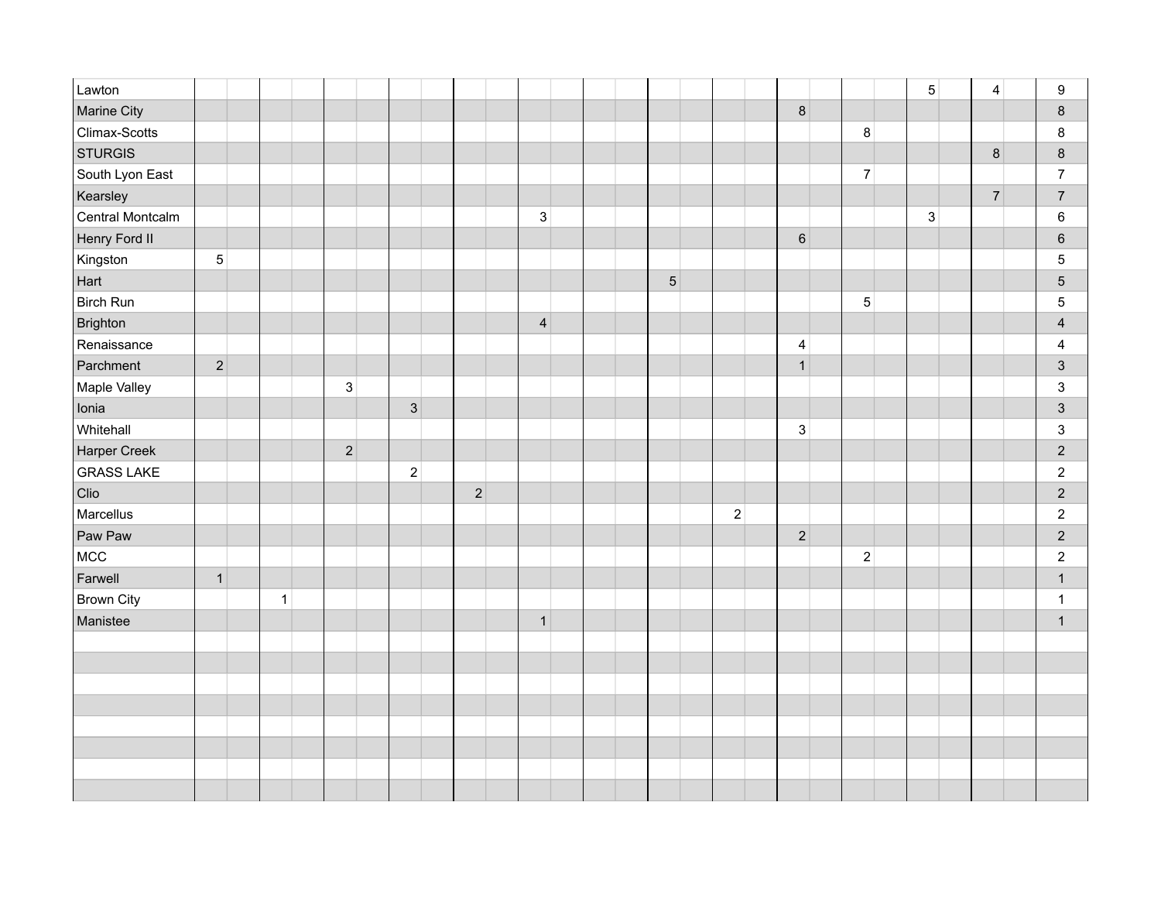| Lawton            |                |             |              |            |             |                |  |            |            |                |                | $\sqrt{5}$  | 4       | 9              |
|-------------------|----------------|-------------|--------------|------------|-------------|----------------|--|------------|------------|----------------|----------------|-------------|---------|----------------|
| Marine City       |                |             |              |            |             |                |  |            |            | $\,8\,$        |                |             |         | $\bf 8$        |
| Climax-Scotts     |                |             |              |            |             |                |  |            |            |                | $\bf 8$        |             |         | 8              |
| STURGIS           |                |             |              |            |             |                |  |            |            |                |                |             | $\bf 8$ | $\bf 8$        |
| South Lyon East   |                |             |              |            |             |                |  |            |            |                | $\overline{7}$ |             |         | $\overline{7}$ |
| Kearsley          |                |             |              |            |             |                |  |            |            |                |                |             | 7       | $\overline{7}$ |
| Central Montcalm  |                |             |              |            |             | $\sqrt{3}$     |  |            |            |                |                | $\mathsf 3$ |         | $\,6\,$        |
| Henry Ford II     |                |             |              |            |             |                |  |            |            | $\,6\,$        |                |             |         | $\,6\,$        |
| Kingston          | $5\,$          |             |              |            |             |                |  |            |            |                |                |             |         | 5              |
| Hart              |                |             |              |            |             |                |  | $\sqrt{5}$ |            |                |                |             |         | 5              |
| Birch Run         |                |             |              |            |             |                |  |            |            |                | $\sqrt{5}$     |             |         | 5              |
| Brighton          |                |             |              |            |             | $\overline{4}$ |  |            |            |                |                |             |         | $\overline{4}$ |
| Renaissance       |                |             |              |            |             |                |  |            |            | $\overline{4}$ |                |             |         | 4              |
| Parchment         | $\overline{2}$ |             |              |            |             |                |  |            |            | $\mathbf{1}$   |                |             |         | $\mathbf{3}$   |
| Maple Valley      |                |             | $\mathbf{3}$ |            |             |                |  |            |            |                |                |             |         | 3              |
| Ionia             |                |             |              | $\sqrt{3}$ |             |                |  |            |            |                |                |             |         | $\mathbf{3}$   |
| Whitehall         |                |             |              |            |             |                |  |            |            | $\sqrt{3}$     |                |             |         | $\mathsf 3$    |
| Harper Creek      |                |             | $\sqrt{2}$   |            |             |                |  |            |            |                |                |             |         | $\overline{2}$ |
| <b>GRASS LAKE</b> |                |             |              | $\sqrt{2}$ |             |                |  |            |            |                |                |             |         | $\overline{2}$ |
| $ $ Clio          |                |             |              |            | $\mathbf 2$ |                |  |            |            |                |                |             |         | $\overline{2}$ |
| Marcellus         |                |             |              |            |             |                |  |            | $\sqrt{2}$ |                |                |             |         | $\overline{2}$ |
| Paw Paw           |                |             |              |            |             |                |  |            |            | $\overline{2}$ |                |             |         | $\overline{2}$ |
| MCC               |                |             |              |            |             |                |  |            |            |                | $\sqrt{2}$     |             |         | $\overline{2}$ |
| Farwell           | $\mathbf{1}$   |             |              |            |             |                |  |            |            |                |                |             |         | $\mathbf{1}$   |
| Brown City        |                | $\mathbf 1$ |              |            |             |                |  |            |            |                |                |             |         | 1              |
| Manistee          |                |             |              |            |             | $\mathbf{1}$   |  |            |            |                |                |             |         | $\mathbf{1}$   |
|                   |                |             |              |            |             |                |  |            |            |                |                |             |         |                |
|                   |                |             |              |            |             |                |  |            |            |                |                |             |         |                |
|                   |                |             |              |            |             |                |  |            |            |                |                |             |         |                |
|                   |                |             |              |            |             |                |  |            |            |                |                |             |         |                |
|                   |                |             |              |            |             |                |  |            |            |                |                |             |         |                |
|                   |                |             |              |            |             |                |  |            |            |                |                |             |         |                |
|                   |                |             |              |            |             |                |  |            |            |                |                |             |         |                |
|                   |                |             |              |            |             |                |  |            |            |                |                |             |         |                |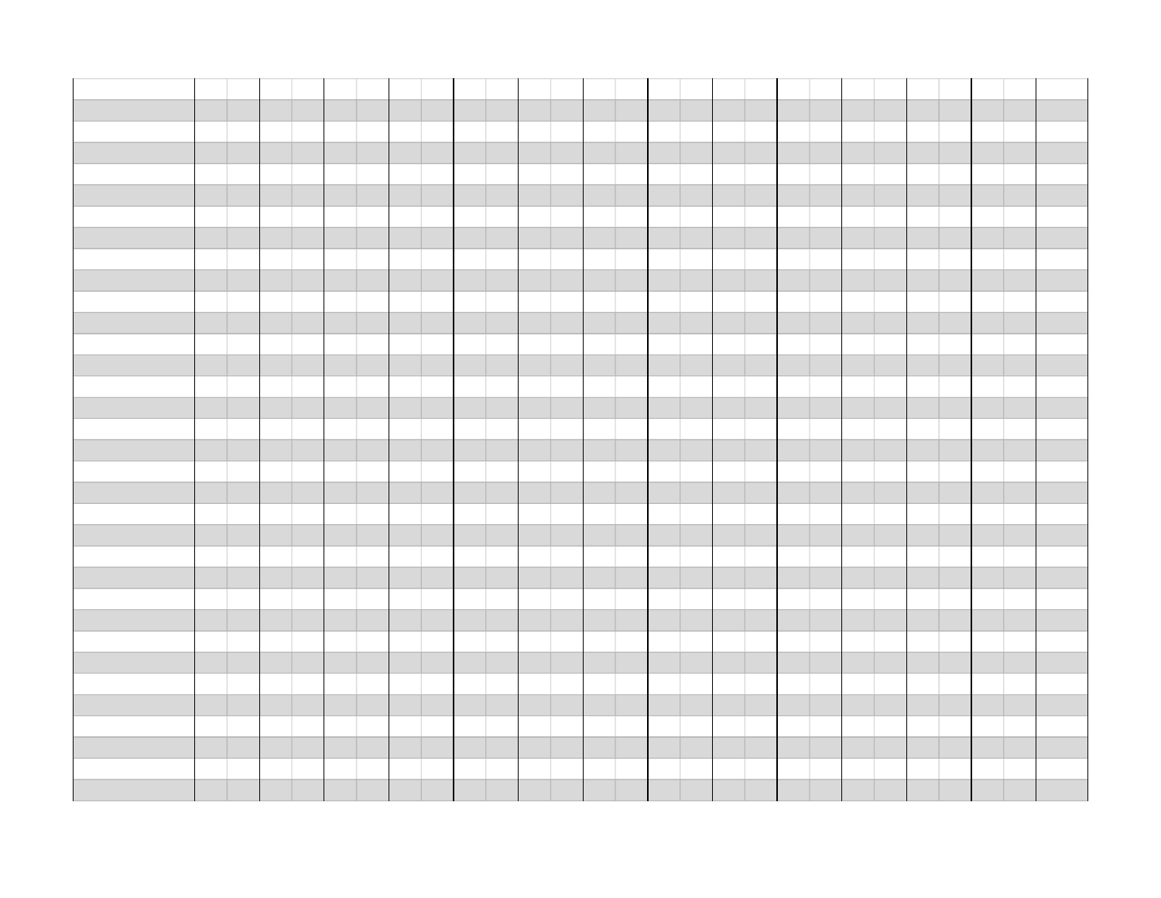| $\blacklozenge$<br>a a Tingga<br>$\mathbb{R}^n$ |
|-------------------------------------------------|
|                                                 |
|                                                 |
|                                                 |
|                                                 |
|                                                 |
|                                                 |
|                                                 |
|                                                 |
|                                                 |
|                                                 |
|                                                 |
|                                                 |
|                                                 |
|                                                 |
|                                                 |
|                                                 |
|                                                 |
|                                                 |
|                                                 |
|                                                 |
|                                                 |
|                                                 |
|                                                 |
|                                                 |
|                                                 |
|                                                 |
|                                                 |
|                                                 |
|                                                 |
|                                                 |
|                                                 |
|                                                 |
|                                                 |
|                                                 |
|                                                 |
|                                                 |
|                                                 |
|                                                 |
|                                                 |
|                                                 |
|                                                 |
|                                                 |
|                                                 |
|                                                 |
|                                                 |
|                                                 |
|                                                 |
|                                                 |
|                                                 |
|                                                 |